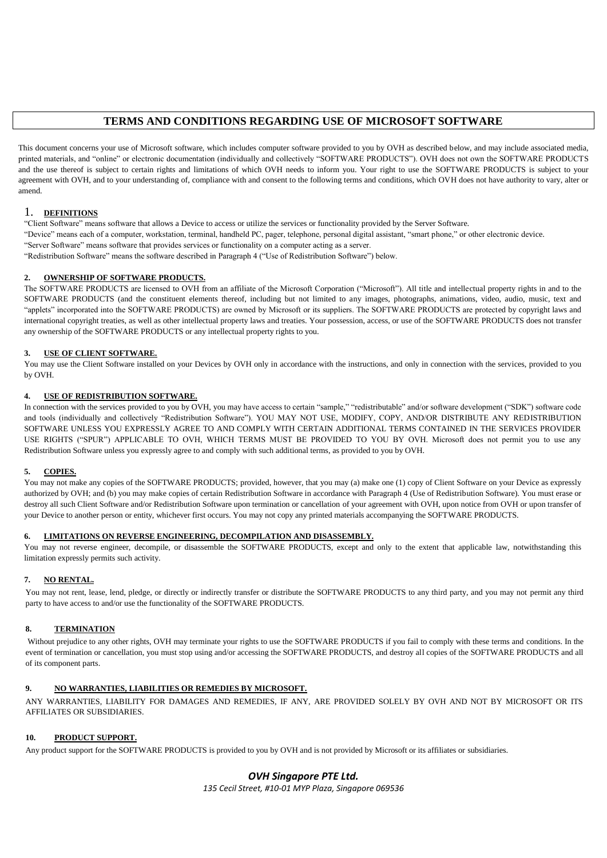# **TERMS AND CONDITIONS REGARDING USE OF MICROSOFT SOFTWARE**

This document concerns your use of Microsoft software, which includes computer software provided to you by OVH as described below, and may include associated media, printed materials, and "online" or electronic documentation (individually and collectively "SOFTWARE PRODUCTS"). OVH does not own the SOFTWARE PRODUCTS and the use thereof is subject to certain rights and limitations of which OVH needs to inform you. Your right to use the SOFTWARE PRODUCTS is subject to your agreement with OVH, and to your understanding of, compliance with and consent to the following terms and conditions, which OVH does not have authority to vary, alter or amend.

## 1. **DEFINITIONS**

"Client Software" means software that allows a Device to access or utilize the services or functionality provided by the Server Software. "Device" means each of a computer, workstation, terminal, handheld PC, pager, telephone, personal digital assistant, "smart phone," or other electronic device. "Server Software" means software that provides services or functionality on a computer acting as a server. "Redistribution Software" means the software described in Paragraph 4 ("Use of Redistribution Software") below.

## **2. OWNERSHIP OF SOFTWARE PRODUCTS.**

The SOFTWARE PRODUCTS are licensed to OVH from an affiliate of the Microsoft Corporation ("Microsoft"). All title and intellectual property rights in and to the SOFTWARE PRODUCTS (and the constituent elements thereof, including but not limited to any images, photographs, animations, video, audio, music, text and "applets" incorporated into the SOFTWARE PRODUCTS) are owned by Microsoft or its suppliers. The SOFTWARE PRODUCTS are protected by copyright laws and international copyright treaties, as well as other intellectual property laws and treaties. Your possession, access, or use of the SOFTWARE PRODUCTS does not transfer any ownership of the SOFTWARE PRODUCTS or any intellectual property rights to you.

## **3. USE OF CLIENT SOFTWARE.**

You may use the Client Software installed on your Devices by OVH only in accordance with the instructions, and only in connection with the services, provided to you by OVH.

#### **4. USE OF REDISTRIBUTION SOFTWARE.**

In connection with the services provided to you by OVH, you may have access to certain "sample," "redistributable" and/or software development ("SDK") software code and tools (individually and collectively "Redistribution Software"). YOU MAY NOT USE, MODIFY, COPY, AND/OR DISTRIBUTE ANY REDISTRIBUTION SOFTWARE UNLESS YOU EXPRESSLY AGREE TO AND COMPLY WITH CERTAIN ADDITIONAL TERMS CONTAINED IN THE SERVICES PROVIDER USE RIGHTS ("SPUR") APPLICABLE TO OVH, WHICH TERMS MUST BE PROVIDED TO YOU BY OVH. Microsoft does not permit you to use any Redistribution Software unless you expressly agree to and comply with such additional terms, as provided to you by OVH.

## **5. COPIES.**

You may not make any copies of the SOFTWARE PRODUCTS; provided, however, that you may (a) make one (1) copy of Client Software on your Device as expressly authorized by OVH; and (b) you may make copies of certain Redistribution Software in accordance with Paragraph 4 (Use of Redistribution Software). You must erase or destroy all such Client Software and/or Redistribution Software upon termination or cancellation of your agreement with OVH, upon notice from OVH or upon transfer of your Device to another person or entity, whichever first occurs. You may not copy any printed materials accompanying the SOFTWARE PRODUCTS.

#### **6. LIMITATIONS ON REVERSE ENGINEERING, DECOMPILATION AND DISASSEMBLY.**

You may not reverse engineer, decompile, or disassemble the SOFTWARE PRODUCTS, except and only to the extent that applicable law, notwithstanding this limitation expressly permits such activity.

## **7. NO RENTAL.**

You may not rent, lease, lend, pledge, or directly or indirectly transfer or distribute the SOFTWARE PRODUCTS to any third party, and you may not permit any third party to have access to and/or use the functionality of the SOFTWARE PRODUCTS.

## **8. TERMINATION**

Without prejudice to any other rights, OVH may terminate your rights to use the SOFTWARE PRODUCTS if you fail to comply with these terms and conditions. In the event of termination or cancellation, you must stop using and/or accessing the SOFTWARE PRODUCTS, and destroy all copies of the SOFTWARE PRODUCTS and all of its component parts.

## **9. NO WARRANTIES, LIABILITIES OR REMEDIES BY MICROSOFT.**

ANY WARRANTIES, LIABILITY FOR DAMAGES AND REMEDIES, IF ANY, ARE PROVIDED SOLELY BY OVH AND NOT BY MICROSOFT OR ITS AFFILIATES OR SUBSIDIARIES.

## **10. PRODUCT SUPPORT.**

Any product support for the SOFTWARE PRODUCTS is provided to you by OVH and is not provided by Microsoft or its affiliates or subsidiaries.

# *OVH Singapore PTE Ltd.*

*135 Cecil Street, #10-01 MYP Plaza, Singapore 069536*